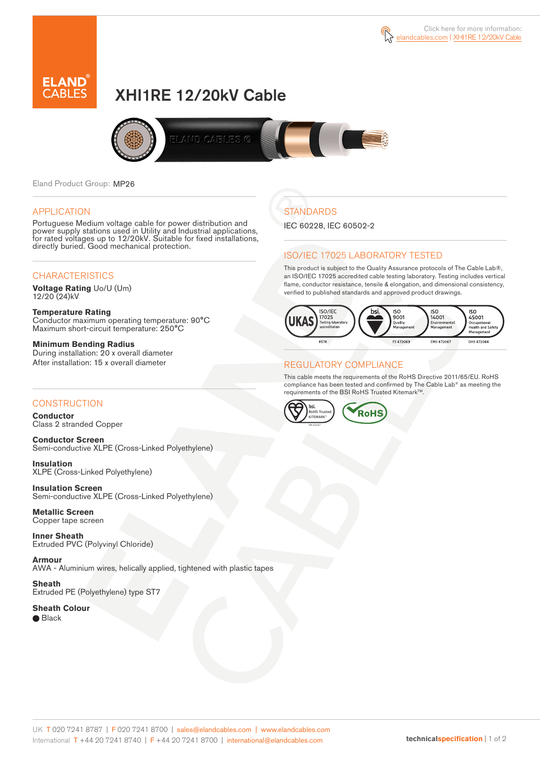



# XHI1RE 12/20kV Cable



Eland Product Group: MP26

#### APPLICATION

Portuguese Medium voltage cable for power distribution and power supply stations used in Utility and Industrial applications, for rated voltages up to 12/20kV. Suitable for fixed installations, directly buried. Good mechanical protection.

### **CHARACTERISTICS**

**Voltage Rating** Uo/U (Um) 12/20 (24)kV

**Temperature Rating** Conductor maximum operating temperature: 90°C Maximum short-circuit temperature: 250°C

**Minimum Bending Radius** During installation: 20 x overall diameter After installation: 15 x overall diameter

### **CONSTRUCTION**

**Conductor**  Class 2 stranded Copper

**Conductor Screen** Semi-conductive XLPE (Cross-Linked Polyethylene)

**Insulation** XLPE (Cross-Linked Polyethylene)

**Insulation Screen** Semi-conductive XLPE (Cross-Linked Polyethylene)

**Metallic Screen**  Copper tape screen

**Inner Sheath** Extruded PVC (Polyvinyl Chloride)

**Armour** AWA - Aluminium wires, helically applied, tightened with plastic tapes

**Sheath** Extruded PE (Polyethylene) type ST7

**Sheath Colour**  ● Black

# **STANDARDS**

IEC 60228, IEC 60502-2

### ISO/IEC 17025 LABORATORY TESTED

This product is subject to the Quality Assurance protocols of The Cable Lab®, an ISO/IEC 17025 accredited cable testing laboratory. Testing includes vertical flame, conductor resistance, tensile & elongation, and dimensional consistency, verified to published standards and approved product drawings.



### REGULATORY COMPLIANCE

This cable meets the requirements of the RoHS Directive 2011/65/EU. RoHS compliance has been tested and confirmed by The Cable Lab® as meeting the requirements of the BSI RoHS Trusted Kitemark™.